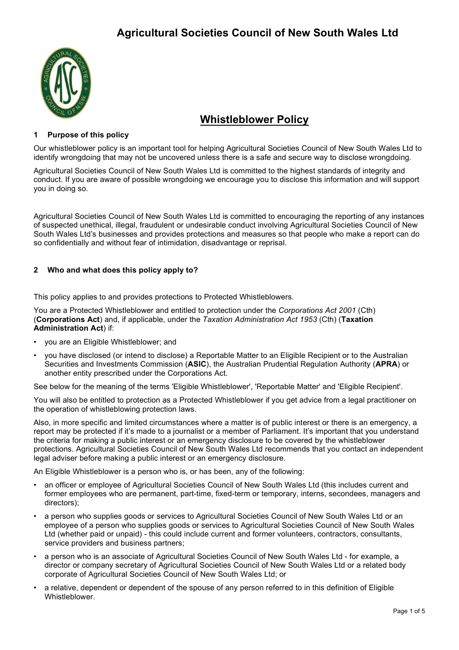

# Whistleblower Policy

# 1 Purpose of this policy

Our whistleblower policy is an important tool for helping Agricultural Societies Council of New South Wales Ltd to identify wrongdoing that may not be uncovered unless there is a safe and secure way to disclose wrongdoing.

Agricultural Societies Council of New South Wales Ltd is committed to the highest standards of integrity and conduct. If you are aware of possible wrongdoing we encourage you to disclose this information and will support you in doing so.

Agricultural Societies Council of New South Wales Ltd is committed to encouraging the reporting of any instances of suspected unethical, illegal, fraudulent or undesirable conduct involving Agricultural Societies Council of New South Wales Ltd's businesses and provides protections and measures so that people who make a report can do so confidentially and without fear of intimidation, disadvantage or reprisal.

# 2 Who and what does this policy apply to?

This policy applies to and provides protections to Protected Whistleblowers.

You are a Protected Whistleblower and entitled to protection under the Corporations Act 2001 (Cth) (Corporations Act) and, if applicable, under the Taxation Administration Act 1953 (Cth) (Taxation Administration Act) if:

- you are an Eligible Whistleblower; and
- you have disclosed (or intend to disclose) a Reportable Matter to an Eligible Recipient or to the Australian Securities and Investments Commission (ASIC), the Australian Prudential Regulation Authority (APRA) or another entity prescribed under the Corporations Act.

See below for the meaning of the terms 'Eligible Whistleblower', 'Reportable Matter' and 'Eligible Recipient'.

You will also be entitled to protection as a Protected Whistleblower if you get advice from a legal practitioner on the operation of whistleblowing protection laws.

Also, in more specific and limited circumstances where a matter is of public interest or there is an emergency, a report may be protected if it's made to a journalist or a member of Parliament. It's important that you understand the criteria for making a public interest or an emergency disclosure to be covered by the whistleblower protections. Agricultural Societies Council of New South Wales Ltd recommends that you contact an independent legal adviser before making a public interest or an emergency disclosure.

An Eligible Whistleblower is a person who is, or has been, any of the following:

- an officer or employee of Agricultural Societies Council of New South Wales Ltd (this includes current and former employees who are permanent, part-time, fixed-term or temporary, interns, secondees, managers and directors);
- a person who supplies goods or services to Agricultural Societies Council of New South Wales Ltd or an employee of a person who supplies goods or services to Agricultural Societies Council of New South Wales Ltd (whether paid or unpaid) - this could include current and former volunteers, contractors, consultants, service providers and business partners;
- a person who is an associate of Agricultural Societies Council of New South Wales Ltd for example, a director or company secretary of Agricultural Societies Council of New South Wales Ltd or a related body corporate of Agricultural Societies Council of New South Wales Ltd; or
- a relative, dependent or dependent of the spouse of any person referred to in this definition of Eligible Whistleblower.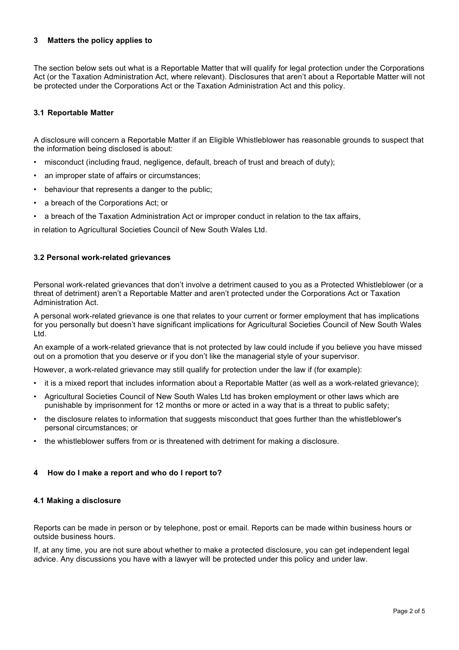# 3 Matters the policy applies to

The section below sets out what is a Reportable Matter that will qualify for legal protection under the Corporations Act (or the Taxation Administration Act, where relevant). Disclosures that aren't about a Reportable Matter will not be protected under the Corporations Act or the Taxation Administration Act and this policy.

# 3.1 Reportable Matter

A disclosure will concern a Reportable Matter if an Eligible Whistleblower has reasonable grounds to suspect that the information being disclosed is about:

- misconduct (including fraud, negligence, default, breach of trust and breach of duty);
- an improper state of affairs or circumstances;
- behaviour that represents a danger to the public;
- a breach of the Corporations Act; or
- a breach of the Taxation Administration Act or improper conduct in relation to the tax affairs,

in relation to Agricultural Societies Council of New South Wales Ltd.

### 3.2 Personal work-related grievances

Personal work-related grievances that don't involve a detriment caused to you as a Protected Whistleblower (or a threat of detriment) aren't a Reportable Matter and aren't protected under the Corporations Act or Taxation Administration Act.

A personal work-related grievance is one that relates to your current or former employment that has implications for you personally but doesn't have significant implications for Agricultural Societies Council of New South Wales Ltd.

An example of a work-related grievance that is not protected by law could include if you believe you have missed out on a promotion that you deserve or if you don't like the managerial style of your supervisor.

However, a work-related grievance may still qualify for protection under the law if (for example):

- it is a mixed report that includes information about a Reportable Matter (as well as a work-related grievance);
- Agricultural Societies Council of New South Wales Ltd has broken employment or other laws which are punishable by imprisonment for 12 months or more or acted in a way that is a threat to public safety;
- the disclosure relates to information that suggests misconduct that goes further than the whistleblower's personal circumstances; or
- the whistleblower suffers from or is threatened with detriment for making a disclosure.

#### 4 How do I make a report and who do I report to?

#### 4.1 Making a disclosure

Reports can be made in person or by telephone, post or email. Reports can be made within business hours or outside business hours.

If, at any time, you are not sure about whether to make a protected disclosure, you can get independent legal advice. Any discussions you have with a lawyer will be protected under this policy and under law.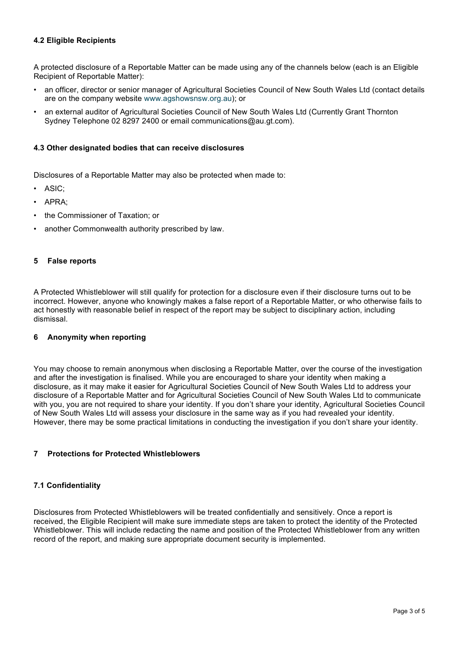# 4.2 Eligible Recipients

A protected disclosure of a Reportable Matter can be made using any of the channels below (each is an Eligible Recipient of Reportable Matter):

- an officer, director or senior manager of Agricultural Societies Council of New South Wales Ltd (contact details are on the company website www.agshowsnsw.org.au); or
- an external auditor of Agricultural Societies Council of New South Wales Ltd (Currently Grant Thornton Sydney Telephone 02 8297 2400 or email communications@au.gt.com).

## 4.3 Other designated bodies that can receive disclosures

Disclosures of a Reportable Matter may also be protected when made to:

- ASIC;
- APRA;
- the Commissioner of Taxation; or
- another Commonwealth authority prescribed by law.

#### 5 False reports

A Protected Whistleblower will still qualify for protection for a disclosure even if their disclosure turns out to be incorrect. However, anyone who knowingly makes a false report of a Reportable Matter, or who otherwise fails to act honestly with reasonable belief in respect of the report may be subject to disciplinary action, including dismissal.

#### 6 Anonymity when reporting

You may choose to remain anonymous when disclosing a Reportable Matter, over the course of the investigation and after the investigation is finalised. While you are encouraged to share your identity when making a disclosure, as it may make it easier for Agricultural Societies Council of New South Wales Ltd to address your disclosure of a Reportable Matter and for Agricultural Societies Council of New South Wales Ltd to communicate with you, you are not required to share your identity. If you don't share your identity, Agricultural Societies Council of New South Wales Ltd will assess your disclosure in the same way as if you had revealed your identity. However, there may be some practical limitations in conducting the investigation if you don't share your identity.

# 7 Protections for Protected Whistleblowers

#### 7.1 Confidentiality

Disclosures from Protected Whistleblowers will be treated confidentially and sensitively. Once a report is received, the Eligible Recipient will make sure immediate steps are taken to protect the identity of the Protected Whistleblower. This will include redacting the name and position of the Protected Whistleblower from any written record of the report, and making sure appropriate document security is implemented.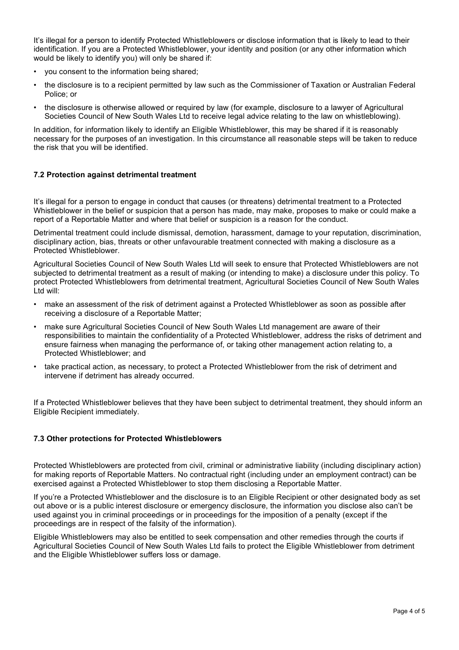It's illegal for a person to identify Protected Whistleblowers or disclose information that is likely to lead to their identification. If you are a Protected Whistleblower, your identity and position (or any other information which would be likely to identify you) will only be shared if:

- you consent to the information being shared;
- the disclosure is to a recipient permitted by law such as the Commissioner of Taxation or Australian Federal Police; or
- the disclosure is otherwise allowed or required by law (for example, disclosure to a lawyer of Agricultural Societies Council of New South Wales Ltd to receive legal advice relating to the law on whistleblowing).

In addition, for information likely to identify an Eligible Whistleblower, this may be shared if it is reasonably necessary for the purposes of an investigation. In this circumstance all reasonable steps will be taken to reduce the risk that you will be identified.

# 7.2 Protection against detrimental treatment

It's illegal for a person to engage in conduct that causes (or threatens) detrimental treatment to a Protected Whistleblower in the belief or suspicion that a person has made, may make, proposes to make or could make a report of a Reportable Matter and where that belief or suspicion is a reason for the conduct.

Detrimental treatment could include dismissal, demotion, harassment, damage to your reputation, discrimination, disciplinary action, bias, threats or other unfavourable treatment connected with making a disclosure as a Protected Whistleblower.

Agricultural Societies Council of New South Wales Ltd will seek to ensure that Protected Whistleblowers are not subjected to detrimental treatment as a result of making (or intending to make) a disclosure under this policy. To protect Protected Whistleblowers from detrimental treatment, Agricultural Societies Council of New South Wales Ltd will:

- make an assessment of the risk of detriment against a Protected Whistleblower as soon as possible after receiving a disclosure of a Reportable Matter;
- make sure Agricultural Societies Council of New South Wales Ltd management are aware of their responsibilities to maintain the confidentiality of a Protected Whistleblower, address the risks of detriment and ensure fairness when managing the performance of, or taking other management action relating to, a Protected Whistleblower; and
- take practical action, as necessary, to protect a Protected Whistleblower from the risk of detriment and intervene if detriment has already occurred.

If a Protected Whistleblower believes that they have been subject to detrimental treatment, they should inform an Eligible Recipient immediately.

# 7.3 Other protections for Protected Whistleblowers

Protected Whistleblowers are protected from civil, criminal or administrative liability (including disciplinary action) for making reports of Reportable Matters. No contractual right (including under an employment contract) can be exercised against a Protected Whistleblower to stop them disclosing a Reportable Matter.

If you're a Protected Whistleblower and the disclosure is to an Eligible Recipient or other designated body as set out above or is a public interest disclosure or emergency disclosure, the information you disclose also can't be used against you in criminal proceedings or in proceedings for the imposition of a penalty (except if the proceedings are in respect of the falsity of the information).

Eligible Whistleblowers may also be entitled to seek compensation and other remedies through the courts if Agricultural Societies Council of New South Wales Ltd fails to protect the Eligible Whistleblower from detriment and the Eligible Whistleblower suffers loss or damage.